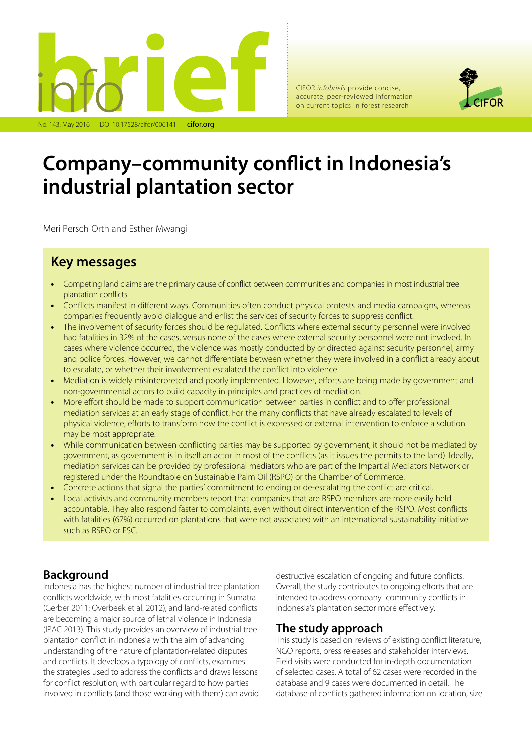

CIFOR *infobriefs* provide concise, accurate, peer-reviewed information on current topics in forest research



# **Company–community conflict in Indonesia's industrial plantation sector**

Meri Persch-Orth and Esther Mwangi

# **Key messages**

- Competing land claims are the primary cause of conflict between communities and companies in most industrial tree plantation conflicts.
- Conflicts manifest in different ways. Communities often conduct physical protests and media campaigns, whereas companies frequently avoid dialogue and enlist the services of security forces to suppress conflict.
- The involvement of security forces should be regulated. Conflicts where external security personnel were involved had fatalities in 32% of the cases, versus none of the cases where external security personnel were not involved. In cases where violence occurred, the violence was mostly conducted by or directed against security personnel, army and police forces. However, we cannot differentiate between whether they were involved in a conflict already about to escalate, or whether their involvement escalated the conflict into violence.
- Mediation is widely misinterpreted and poorly implemented. However, efforts are being made by government and non-governmental actors to build capacity in principles and practices of mediation.
- More effort should be made to support communication between parties in conflict and to offer professional mediation services at an early stage of conflict. For the many conflicts that have already escalated to levels of physical violence, efforts to transform how the conflict is expressed or external intervention to enforce a solution may be most appropriate.
- While communication between conflicting parties may be supported by government, it should not be mediated by government, as government is in itself an actor in most of the conflicts (as it issues the permits to the land). Ideally, mediation services can be provided by professional mediators who are part of the Impartial Mediators Network or registered under the Roundtable on Sustainable Palm Oil (RSPO) or the Chamber of Commerce.
- Concrete actions that signal the parties' commitment to ending or de-escalating the conflict are critical.
- Local activists and community members report that companies that are RSPO members are more easily held accountable. They also respond faster to complaints, even without direct intervention of the RSPO. Most conflicts with fatalities (67%) occurred on plantations that were not associated with an international sustainability initiative such as RSPO or FSC.

# **Background**

Indonesia has the highest number of industrial tree plantation conflicts worldwide, with most fatalities occurring in Sumatra (Gerber 2011; Overbeek et al. 2012), and land-related conflicts are becoming a major source of lethal violence in Indonesia (IPAC 2013). This study provides an overview of industrial tree plantation conflict in Indonesia with the aim of advancing understanding of the nature of plantation-related disputes and conflicts. It develops a typology of conflicts, examines the strategies used to address the conflicts and draws lessons for conflict resolution, with particular regard to how parties involved in conflicts (and those working with them) can avoid

destructive escalation of ongoing and future conflicts. Overall, the study contributes to ongoing efforts that are intended to address company–community conflicts in Indonesia's plantation sector more effectively.

#### **The study approach**

This study is based on reviews of existing conflict literature, NGO reports, press releases and stakeholder interviews. Field visits were conducted for in-depth documentation of selected cases. A total of 62 cases were recorded in the database and 9 cases were documented in detail. The database of conflicts gathered information on location, size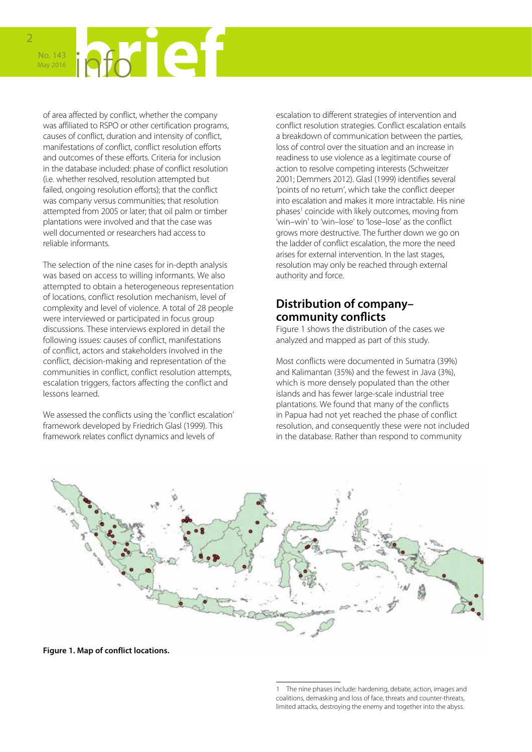

**FORKLET** No. 143 May 2016

of area affected by conflict, whether the company was affiliated to RSPO or other certification programs, causes of conflict, duration and intensity of conflict, manifestations of conflict, conflict resolution efforts and outcomes of these efforts. Criteria for inclusion in the database included: phase of conflict resolution (i.e. whether resolved, resolution attempted but failed, ongoing resolution efforts); that the conflict was company versus communities; that resolution attempted from 2005 or later; that oil palm or timber plantations were involved and that the case was well documented or researchers had access to reliable informants.

The selection of the nine cases for in-depth analysis was based on access to willing informants. We also attempted to obtain a heterogeneous representation of locations, conflict resolution mechanism, level of complexity and level of violence. A total of 28 people were interviewed or participated in focus group discussions. These interviews explored in detail the following issues: causes of conflict, manifestations of conflict, actors and stakeholders involved in the conflict, decision-making and representation of the communities in conflict, conflict resolution attempts, escalation triggers, factors affecting the conflict and lessons learned.

We assessed the conflicts using the 'conflict escalation' framework developed by Friedrich Glasl (1999). This framework relates conflict dynamics and levels of

escalation to different strategies of intervention and conflict resolution strategies. Conflict escalation entails a breakdown of communication between the parties, loss of control over the situation and an increase in readiness to use violence as a legitimate course of action to resolve competing interests (Schweitzer 2001; Demmers 2012). Glasl (1999) identifies several 'points of no return', which take the conflict deeper into escalation and makes it more intractable. His nine phases<sup>1</sup> coincide with likely outcomes, moving from 'win–win' to 'win–lose' to 'lose–lose' as the conflict grows more destructive. The further down we go on the ladder of conflict escalation, the more the need arises for external intervention. In the last stages, resolution may only be reached through external authority and force.

# **Distribution of company– community conflicts**

Figure 1 shows the distribution of the cases we analyzed and mapped as part of this study.

Most conflicts were documented in Sumatra (39%) and Kalimantan (35%) and the fewest in Java (3%), which is more densely populated than the other islands and has fewer large-scale industrial tree plantations. We found that many of the conflicts in Papua had not yet reached the phase of conflict resolution, and consequently these were not included in the database. Rather than respond to community



**Figure 1. Map of conflict locations.**

<sup>1</sup> The nine phases include: hardening, debate, action, images and coalitions, demasking and loss of face, threats and counter-threats, limited attacks, destroying the enemy and together into the abyss.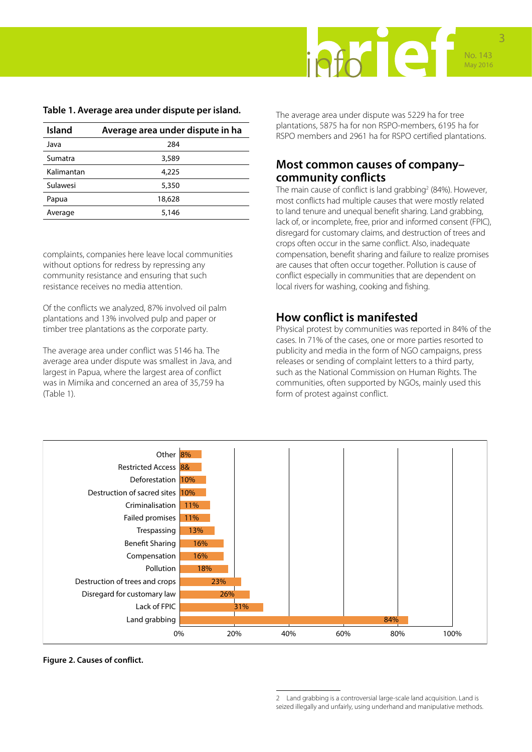

| <b>Island</b> | Average area under dispute in ha |
|---------------|----------------------------------|
| Java          | 284                              |
| Sumatra       | 3,589                            |
| Kalimantan    | 4,225                            |
| Sulawesi      | 5,350                            |
| Papua         | 18,628                           |
| Average       | 5,146                            |

#### <span id="page-2-0"></span>**Table 1. Average area under dispute per island.**

complaints, companies here leave local communities without options for redress by repressing any community resistance and ensuring that such resistance receives no media attention.

Of the conflicts we analyzed, 87% involved oil palm plantations and 13% involved pulp and paper or timber tree plantations as the corporate party.

The average area under conflict was 5146 ha. The average area under dispute was smallest in Java, and largest in Papua, where the largest area of conflict was in Mimika and concerned an area of 35,759 ha ([Table 1\)](#page-2-0).

The average area under dispute was 5229 ha for tree plantations, 5875 ha for non RSPO-members, 6195 ha for RSPO members and 2961 ha for RSPO certified plantations.

#### **Most common causes of company– community conflicts**

The main cause of conflict is land grabbing<sup>2</sup> (84%). However, most conflicts had multiple causes that were mostly related to land tenure and unequal benefit sharing. Land grabbing, lack of, or incomplete, free, prior and informed consent (FPIC), disregard for customary claims, and destruction of trees and crops often occur in the same conflict. Also, inadequate compensation, benefit sharing and failure to realize promises are causes that often occur together. Pollution is cause of conflict especially in communities that are dependent on local rivers for washing, cooking and fishing.

### **How conflict is manifested**

Physical protest by communities was reported in 84% of the cases. In 71% of the cases, one or more parties resorted to publicity and media in the form of NGO campaigns, press releases or sending of complaint letters to a third party, such as the National Commission on Human Rights. The communities, often supported by NGOs, mainly used this form of protest against conflict.



**Figure 2. Causes of conflict.**

<sup>2</sup> Land grabbing is a controversial large-scale land acquisition. Land is seized illegally and unfairly, using underhand and manipulative methods.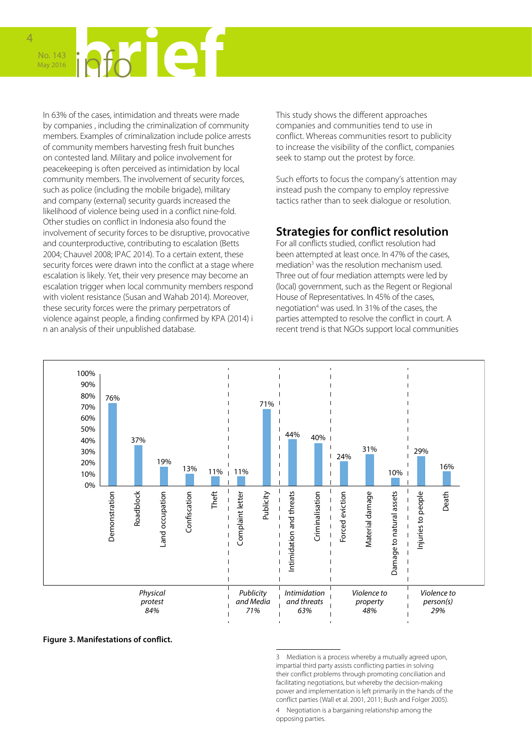

In 63% of the cases, intimidation and threats were made by companies , including the criminalization of community members. Examples of criminalization include police arrests of community members harvesting fresh fruit bunches on contested land. Military and police involvement for peacekeeping is often perceived as intimidation by local community members. The involvement of security forces, such as police (including the mobile brigade), military and company (external) security guards increased the likelihood of violence being used in a conflict nine-fold. Other studies on conflict in Indonesia also found the involvement of security forces to be disruptive, provocative and counterproductive, contributing to escalation (Betts 2004; Chauvel 2008; IPAC 2014). To a certain extent, these security forces were drawn into the conflict at a stage where escalation is likely. Yet, their very presence may become an escalation trigger when local community members respond with violent resistance (Susan and Wahab 2014). Moreover, these security forces were the primary perpetrators of violence against people, a finding confirmed by KPA (2014) i n an analysis of their unpublished database.

This study shows the different approaches companies and communities tend to use in conflict. Whereas communities resort to publicity to increase the visibility of the conflict, companies seek to stamp out the protest by force.

Such efforts to focus the company's attention may instead push the company to employ repressive tactics rather than to seek dialogue or resolution.

### **Strategies for conflict resolution**

For all conflicts studied, conflict resolution had been attempted at least once. In 47% of the cases, mediation<sup>3</sup> was the resolution mechanism used. Three out of four mediation attempts were led by (local) government, such as the Regent or Regional House of Representatives. In 45% of the cases, negotiation4 was used. In 31% of the cases, the parties attempted to resolve the conflict in court. A recent trend is that NGOs support local communities



**Figure 3. Manifestations of conflict.** 

<sup>3</sup> Mediation is a process whereby a mutually agreed upon, impartial third party assists conflicting parties in solving their conflict problems through promoting conciliation and facilitating negotiations, but whereby the decision-making power and implementation is left primarily in the hands of the conflict parties (Wall et al. 2001, 2011; Bush and Folger 2005).

<sup>4</sup> Negotiation is a bargaining relationship among the opposing parties.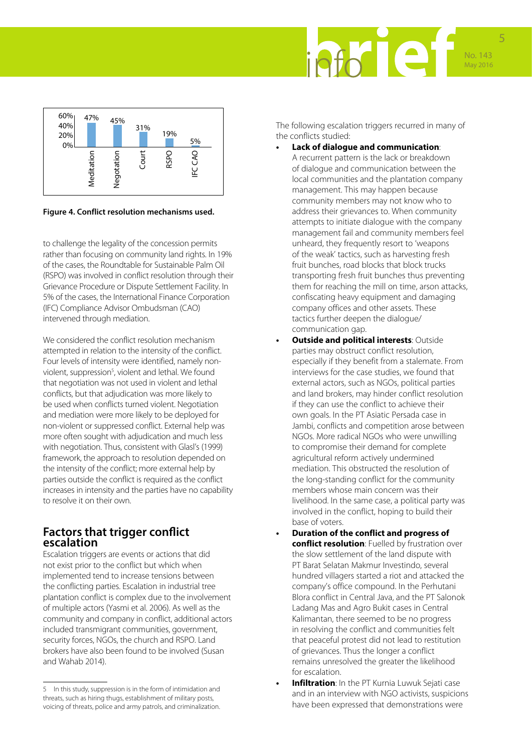



#### **Figure 4. Conflict resolution mechanisms used.**

to challenge the legality of the concession permits rather than focusing on community land rights. In 19% of the cases, the Roundtable for Sustainable Palm Oil (RSPO) was involved in conflict resolution through their Grievance Procedure or Dispute Settlement Facility. In 5% of the cases, the International Finance Corporation (IFC) Compliance Advisor Ombudsman (CAO) intervened through mediation.

We considered the conflict resolution mechanism attempted in relation to the intensity of the conflict. Four levels of intensity were identified, namely nonviolent, suppression<sup>5</sup>, violent and lethal. We found that negotiation was not used in violent and lethal conflicts, but that adjudication was more likely to be used when conflicts turned violent. Negotiation and mediation were more likely to be deployed for non-violent or suppressed conflict. External help was more often sought with adjudication and much less with negotiation. Thus, consistent with Glasl's (1999) framework, the approach to resolution depended on the intensity of the conflict; more external help by parties outside the conflict is required as the conflict increases in intensity and the parties have no capability to resolve it on their own.

#### **Factors that trigger conflict escalation**

Escalation triggers are events or actions that did not exist prior to the conflict but which when implemented tend to increase tensions between the conflicting parties. Escalation in industrial tree plantation conflict is complex due to the involvement of multiple actors (Yasmi et al. 2006). As well as the community and company in conflict, additional actors included transmigrant communities, government, security forces, NGOs, the church and RSPO. Land brokers have also been found to be involved (Susan and Wahab 2014).

The following escalation triggers recurred in many of the conflicts studied:

- **• Lack of dialogue and communication**: A recurrent pattern is the lack or breakdown of dialogue and communication between the local communities and the plantation company management. This may happen because community members may not know who to address their grievances to. When community attempts to initiate dialogue with the company management fail and community members feel unheard, they frequently resort to 'weapons of the weak' tactics, such as harvesting fresh fruit bunches, road blocks that block trucks transporting fresh fruit bunches thus preventing them for reaching the mill on time, arson attacks, confiscating heavy equipment and damaging company offices and other assets. These tactics further deepen the dialogue/ communication gap.
- **• Outside and political interests**: Outside parties may obstruct conflict resolution, especially if they benefit from a stalemate. From interviews for the case studies, we found that external actors, such as NGOs, political parties and land brokers, may hinder conflict resolution if they can use the conflict to achieve their own goals. In the PT Asiatic Persada case in Jambi, conflicts and competition arose between NGOs. More radical NGOs who were unwilling to compromise their demand for complete agricultural reform actively undermined mediation. This obstructed the resolution of the long-standing conflict for the community members whose main concern was their livelihood. In the same case, a political party was involved in the conflict, hoping to build their base of voters.
- **• Duration of the conflict and progress of conflict resolution**: Fuelled by frustration over the slow settlement of the land dispute with PT Barat Selatan Makmur Investindo, several hundred villagers started a riot and attacked the company's office compound. In the Perhutani Blora conflict in Central Java, and the PT Salonok Ladang Mas and Agro Bukit cases in Central Kalimantan, there seemed to be no progress in resolving the conflict and communities felt that peaceful protest did not lead to restitution of grievances. Thus the longer a conflict remains unresolved the greater the likelihood for escalation.
- **• Infiltration**: In the PT Kurnia Luwuk Sejati case and in an interview with NGO activists, suspicions have been expressed that demonstrations were

<sup>5</sup> In this study, suppression is in the form of intimidation and threats, such as hiring thugs, establishment of military posts, voicing of threats, police and army patrols, and criminalization.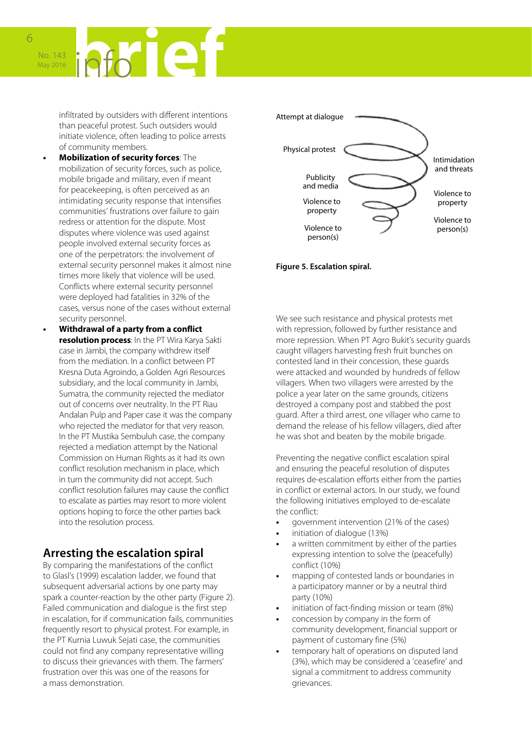No. 143 May 2016

> infiltrated by outsiders with different intentions than peaceful protest. Such outsiders would initiate violence, often leading to police arrests of community members.

- **• Mobilization of security forces**: The mobilization of security forces, such as police, mobile brigade and military, even if meant for peacekeeping, is often perceived as an intimidating security response that intensifies communities' frustrations over failure to gain redress or attention for the dispute. Most disputes where violence was used against people involved external security forces as one of the perpetrators: the involvement of external security personnel makes it almost nine times more likely that violence will be used. Conflicts where external security personnel were deployed had fatalities in 32% of the cases, versus none of the cases without external security personnel.
- **• Withdrawal of a party from a conflict resolution process**: In the PT Wira Karya Sakti case in Jambi, the company withdrew itself from the mediation. In a conflict between PT Kresna Duta Agroindo, a Golden Agri Resources subsidiary, and the local community in Jambi, Sumatra, the community rejected the mediator out of concerns over neutrality. In the PT Riau Andalan Pulp and Paper case it was the company who rejected the mediator for that very reason. In the PT Mustika Sembuluh case, the company rejected a mediation attempt by the National Commission on Human Rights as it had its own conflict resolution mechanism in place, which in turn the community did not accept. Such conflict resolution failures may cause the conflict to escalate as parties may resort to more violent options hoping to force the other parties back into the resolution process.

#### **Arresting the escalation spiral**

By comparing the manifestations of the conflict to Glasl's (1999) escalation ladder, we found that subsequent adversarial actions by one party may spark a counter-reaction by the other party (Figure 2). Failed communication and dialogue is the first step in escalation, for if communication fails, communities frequently resort to physical protest. For example, in the PT Kurnia Luwuk Sejati case, the communities could not find any company representative willing to discuss their grievances with them. The farmers' frustration over this was one of the reasons for a mass demonstration.



#### **Figure 5. Escalation spiral.**

We see such resistance and physical protests met with repression, followed by further resistance and more repression. When PT Agro Bukit's security guards caught villagers harvesting fresh fruit bunches on contested land in their concession, these guards were attacked and wounded by hundreds of fellow villagers. When two villagers were arrested by the police a year later on the same grounds, citizens destroyed a company post and stabbed the post guard. After a third arrest, one villager who came to demand the release of his fellow villagers, died after he was shot and beaten by the mobile brigade.

Preventing the negative conflict escalation spiral and ensuring the peaceful resolution of disputes requires de-escalation efforts either from the parties in conflict or external actors. In our study, we found the following initiatives employed to de-escalate the conflict:

- **•** government intervention (21% of the cases)
- **•** initiation of dialogue (13%)
- **•** a written commitment by either of the parties expressing intention to solve the (peacefully) conflict (10%)
- **•** mapping of contested lands or boundaries in a participatory manner or by a neutral third party (10%)
- **•** initiation of fact-finding mission or team (8%)
- **•** concession by company in the form of community development, financial support or payment of customary fine (5%)
- **•** temporary halt of operations on disputed land (3%), which may be considered a 'ceasefire' and signal a commitment to address community grievances.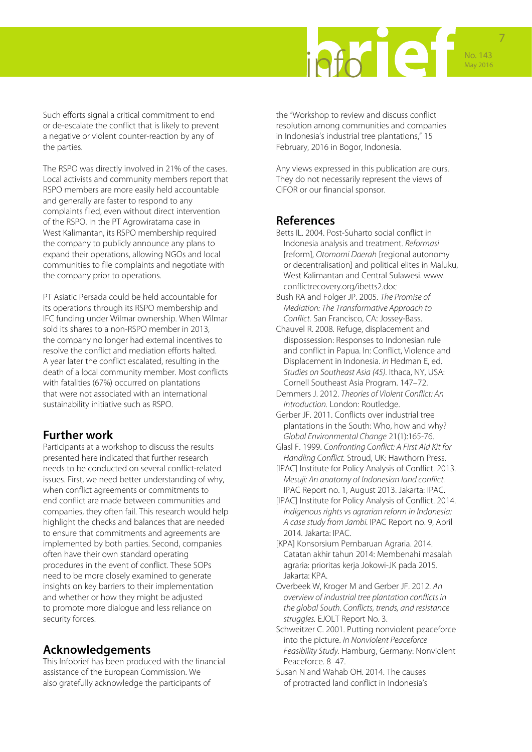

Such efforts signal a critical commitment to end or de-escalate the conflict that is likely to prevent a negative or violent counter-reaction by any of the parties.

The RSPO was directly involved in 21% of the cases. Local activists and community members report that RSPO members are more easily held accountable and generally are faster to respond to any complaints filed, even without direct intervention of the RSPO. In the PT Agrowiratama case in West Kalimantan, its RSPO membership required the company to publicly announce any plans to expand their operations, allowing NGOs and local communities to file complaints and negotiate with the company prior to operations.

PT Asiatic Persada could be held accountable for its operations through its RSPO membership and IFC funding under Wilmar ownership. When Wilmar sold its shares to a non-RSPO member in 2013, the company no longer had external incentives to resolve the conflict and mediation efforts halted. A year later the conflict escalated, resulting in the death of a local community member. Most conflicts with fatalities (67%) occurred on plantations that were not associated with an international sustainability initiative such as RSPO.

#### **Further work**

Participants at a workshop to discuss the results presented here indicated that further research needs to be conducted on several conflict-related issues. First, we need better understanding of why, when conflict agreements or commitments to end conflict are made between communities and companies, they often fail. This research would help highlight the checks and balances that are needed to ensure that commitments and agreements are implemented by both parties. Second, companies often have their own standard operating procedures in the event of conflict. These SOPs need to be more closely examined to generate insights on key barriers to their implementation and whether or how they might be adjusted to promote more dialogue and less reliance on security forces.

#### **Acknowledgements**

This Infobrief has been produced with the financial assistance of the European Commission. We also gratefully acknowledge the participants of

the "Workshop to review and discuss conflict resolution among communities and companies in Indonesia's industrial tree plantations," 15 February, 2016 in Bogor, Indonesia.

Any views expressed in this publication are ours. They do not necessarily represent the views of CIFOR or our financial sponsor.

#### **References**

- Betts IL. 2004. Post-Suharto social conflict in Indonesia analysis and treatment. *Reformasi*  [reform], *Otomomi Daerah* [regional autonomy or decentralisation] and political elites in Maluku, West Kalimantan and Central Sulawesi. [www.](http://www.conflictrecovery.org/ibetts2.doc) [conflictrecovery.org/ibetts2.doc](http://www.conflictrecovery.org/ibetts2.doc)
- Bush RA and Folger JP. 2005. *The Promise of Mediation: The Transformative Approach to Conflict.* San Francisco, CA: Jossey-Bass.
- Chauvel R. 2008. Refuge, displacement and dispossession: Responses to Indonesian rule and conflict in Papua. In: Conflict, Violence and Displacement in Indonesia. *In* Hedman E, ed. *Studies on Southeast Asia (45)*. Ithaca, NY, USA: Cornell Southeast Asia Program. 147–72.
- Demmers J. 2012. *Theories of Violent Conflict: An Introduction.* London: Routledge.
- Gerber JF. 2011. Conflicts over industrial tree plantations in the South: Who, how and why? *Global Environmental Change* 21(1):165-76.
- Glasl F. 1999. *Confronting Conflict: A First Aid Kit for Handling Conflict.* Stroud, UK: Hawthorn Press.
- [IPAC] Institute for Policy Analysis of Conflict. 2013. *Mesuji: An anatomy of Indonesian land conflict.* IPAC Report no. 1, August 2013. Jakarta: IPAC.
- [IPAC] Institute for Policy Analysis of Conflict. 2014. *Indigenous rights vs agrarian reform in Indonesia: A case study from Jambi.* IPAC Report no. 9, April 2014. Jakarta: IPAC.
- [KPA] Konsorsium Pembaruan Agraria. 2014. Catatan akhir tahun 2014: Membenahi masalah agraria: prioritas kerja Jokowi-JK pada 2015. Jakarta: KPA.
- Overbeek W, Kroger M and Gerber JF. 2012. *An overview of industrial tree plantation conflicts in the global South. Conflicts, trends, and resistance struggles.* EJOLT Report No. 3.
- Schweitzer C. 2001. Putting nonviolent peaceforce into the picture. *In Nonviolent Peaceforce Feasibility Study.* Hamburg, Germany: Nonviolent Peaceforce. 8–47.
- Susan N and Wahab OH. 2014. The causes of protracted land conflict in Indonesia's